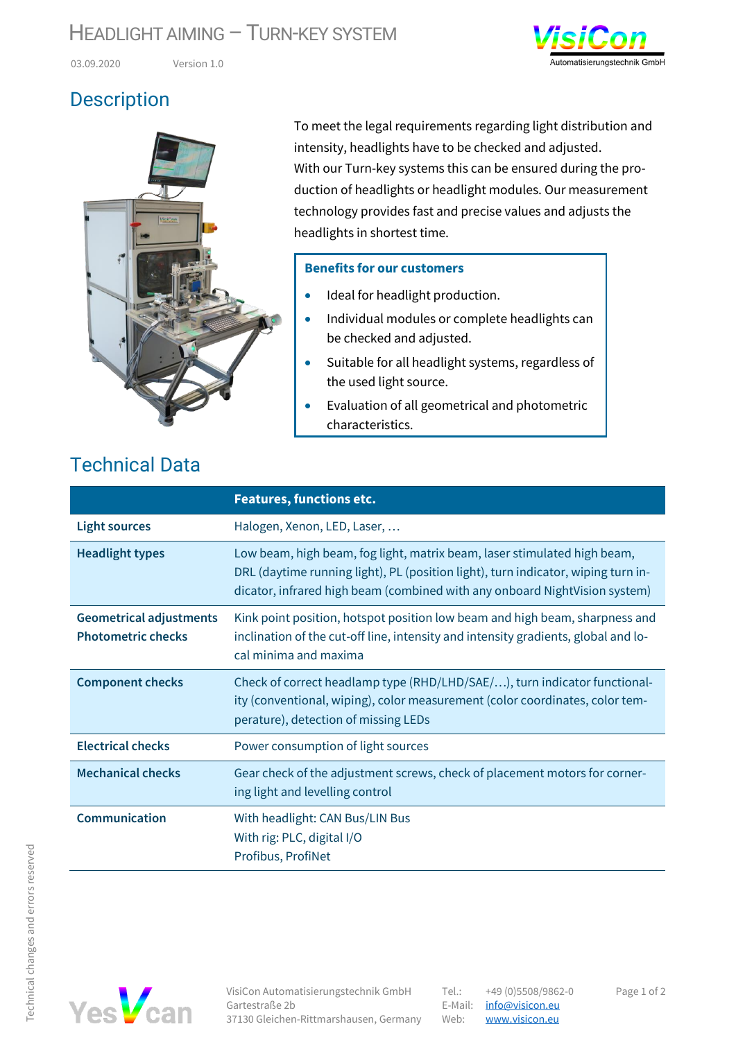#### HEADLIGHT AIMING - TURN-KEY SYSTEM



03.09.2020 Version 1.0

## **Description**



To meet the legal requirements regarding light distribution and intensity, headlights have to be checked and adjusted. With our Turn-key systems this can be ensured during the production of headlights or headlight modules. Our measurement technology provides fast and precise values and adjusts the headlights in shortest time.

#### **Benefits for our customers**

- Ideal for headlight production.
- Individual modules or complete headlights can be checked and adjusted.
- Suitable for all headlight systems, regardless of the used light source.
- Evaluation of all geometrical and photometric characteristics.

## Technical Data

|                                                             | <b>Features, functions etc.</b>                                                                                                                                                                                                             |
|-------------------------------------------------------------|---------------------------------------------------------------------------------------------------------------------------------------------------------------------------------------------------------------------------------------------|
| <b>Light sources</b>                                        | Halogen, Xenon, LED, Laser,                                                                                                                                                                                                                 |
| <b>Headlight types</b>                                      | Low beam, high beam, fog light, matrix beam, laser stimulated high beam,<br>DRL (daytime running light), PL (position light), turn indicator, wiping turn in-<br>dicator, infrared high beam (combined with any onboard NightVision system) |
| <b>Geometrical adjustments</b><br><b>Photometric checks</b> | Kink point position, hotspot position low beam and high beam, sharpness and<br>inclination of the cut-off line, intensity and intensity gradients, global and lo-<br>cal minima and maxima                                                  |
| <b>Component checks</b>                                     | Check of correct headlamp type (RHD/LHD/SAE/), turn indicator functional-<br>ity (conventional, wiping), color measurement (color coordinates, color tem-<br>perature), detection of missing LEDs                                           |
| <b>Electrical checks</b>                                    | Power consumption of light sources                                                                                                                                                                                                          |
| <b>Mechanical checks</b>                                    | Gear check of the adjustment screws, check of placement motors for corner-<br>ing light and levelling control                                                                                                                               |
| Communication                                               | With headlight: CAN Bus/LIN Bus<br>With rig: PLC, digital I/O<br>Profibus, ProfiNet                                                                                                                                                         |